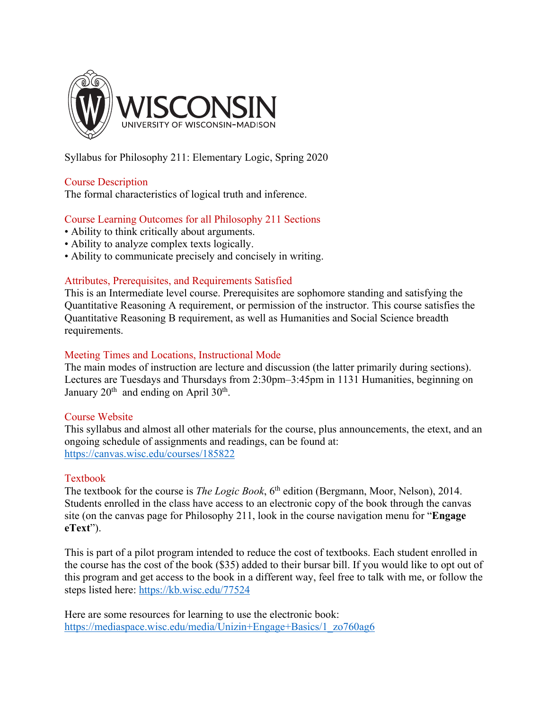

Syllabus for Philosophy 211: Elementary Logic, Spring 2020

# Course Description

The formal characteristics of logical truth and inference.

# Course Learning Outcomes for all Philosophy 211 Sections

- Ability to think critically about arguments.
- Ability to analyze complex texts logically.
- Ability to communicate precisely and concisely in writing.

# Attributes, Prerequisites, and Requirements Satisfied

This is an Intermediate level course. Prerequisites are sophomore standing and satisfying the Quantitative Reasoning A requirement, or permission of the instructor. This course satisfies the Quantitative Reasoning B requirement, as well as Humanities and Social Science breadth requirements.

# Meeting Times and Locations, Instructional Mode

The main modes of instruction are lecture and discussion (the latter primarily during sections). Lectures are Tuesdays and Thursdays from 2:30pm–3:45pm in 1131 Humanities, beginning on January  $20^{th}$  and ending on April  $30^{th}$ .

### Course Website

This syllabus and almost all other materials for the course, plus announcements, the etext, and an ongoing schedule of assignments and readings, can be found at: https://canvas.wisc.edu/courses/185822

### Textbook

The textbook for the course is *The Logic Book*, 6<sup>th</sup> edition (Bergmann, Moor, Nelson), 2014. Students enrolled in the class have access to an electronic copy of the book through the canvas site (on the canvas page for Philosophy 211, look in the course navigation menu for "**Engage eText**").

This is part of a pilot program intended to reduce the cost of textbooks. Each student enrolled in the course has the cost of the book (\$35) added to their bursar bill. If you would like to opt out of this program and get access to the book in a different way, feel free to talk with me, or follow the steps listed here: https://kb.wisc.edu/77524

Here are some resources for learning to use the electronic book: https://mediaspace.wisc.edu/media/Unizin+Engage+Basics/1\_zo760ag6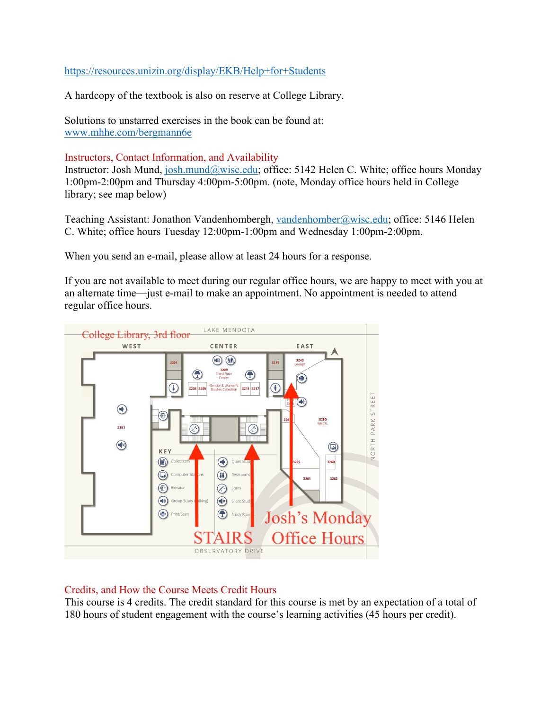# https://resources.unizin.org/display/EKB/Help+for+Students

A hardcopy of the textbook is also on reserve at College Library.

Solutions to unstarred exercises in the book can be found at: www.mhhe.com/bergmann6e

### Instructors, Contact Information, and Availability

Instructor: Josh Mund, josh.mund@wisc.edu; office: 5142 Helen C. White; office hours Monday 1:00pm-2:00pm and Thursday 4:00pm-5:00pm. (note, Monday office hours held in College library; see map below)

Teaching Assistant: Jonathon Vandenhombergh, vandenhomber@wisc.edu; office: 5146 Helen C. White; office hours Tuesday 12:00pm-1:00pm and Wednesday 1:00pm-2:00pm.

When you send an e-mail, please allow at least 24 hours for a response.

If you are not available to meet during our regular office hours, we are happy to meet with you at an alternate time—just e-mail to make an appointment. No appointment is needed to attend regular office hours.



### Credits, and How the Course Meets Credit Hours

This course is 4 credits. The credit standard for this course is met by an expectation of a total of 180 hours of student engagement with the course's learning activities (45 hours per credit).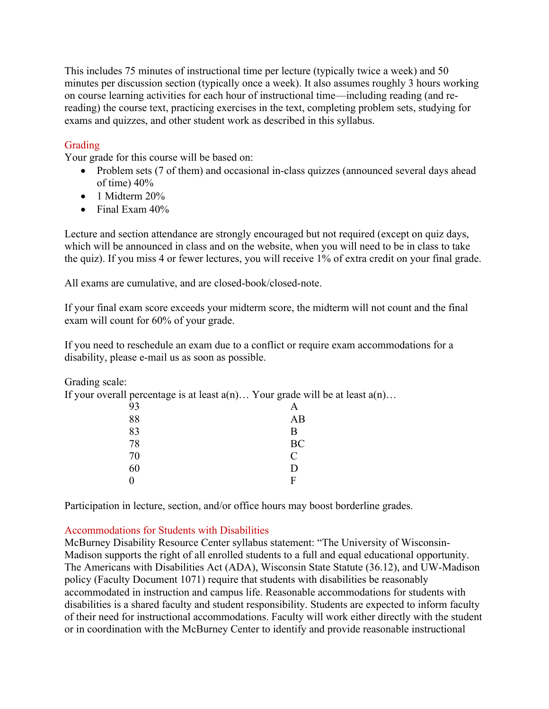This includes 75 minutes of instructional time per lecture (typically twice a week) and 50 minutes per discussion section (typically once a week). It also assumes roughly 3 hours working on course learning activities for each hour of instructional time—including reading (and rereading) the course text, practicing exercises in the text, completing problem sets, studying for exams and quizzes, and other student work as described in this syllabus.

# Grading

Your grade for this course will be based on:

- Problem sets (7 of them) and occasional in-class quizzes (announced several days ahead of time) 40%
- $\bullet$  1 Midterm 20%
- Final Exam 40%

Lecture and section attendance are strongly encouraged but not required (except on quiz days, which will be announced in class and on the website, when you will need to be in class to take the quiz). If you miss 4 or fewer lectures, you will receive 1% of extra credit on your final grade.

All exams are cumulative, and are closed-book/closed-note.

If your final exam score exceeds your midterm score, the midterm will not count and the final exam will count for 60% of your grade.

If you need to reschedule an exam due to a conflict or require exam accommodations for a disability, please e-mail us as soon as possible.

Grading scale:

If your overall percentage is at least  $a(n)$ ... Your grade will be at least  $a(n)$ ...

|    | $\tilde{\phantom{a}}$ | $\sim$ $\sim$ | $\tilde{\phantom{a}}$ |  |
|----|-----------------------|---------------|-----------------------|--|
| 93 |                       |               | A                     |  |
| 88 |                       |               | AB                    |  |
| 83 |                       |               | В                     |  |
| 78 |                       |               | BC                    |  |
| 70 |                       |               | $\overline{C}$        |  |
| 60 |                       |               | D                     |  |
|    |                       |               | F                     |  |
|    |                       |               |                       |  |

Participation in lecture, section, and/or office hours may boost borderline grades.

### Accommodations for Students with Disabilities

McBurney Disability Resource Center syllabus statement: "The University of Wisconsin-Madison supports the right of all enrolled students to a full and equal educational opportunity. The Americans with Disabilities Act (ADA), Wisconsin State Statute (36.12), and UW-Madison policy (Faculty Document 1071) require that students with disabilities be reasonably accommodated in instruction and campus life. Reasonable accommodations for students with disabilities is a shared faculty and student responsibility. Students are expected to inform faculty of their need for instructional accommodations. Faculty will work either directly with the student or in coordination with the McBurney Center to identify and provide reasonable instructional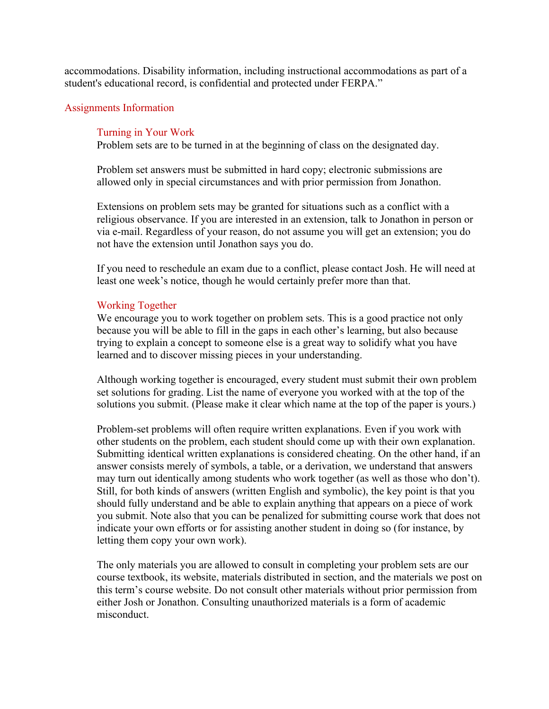accommodations. Disability information, including instructional accommodations as part of a student's educational record, is confidential and protected under FERPA."

#### Assignments Information

#### Turning in Your Work

Problem sets are to be turned in at the beginning of class on the designated day.

Problem set answers must be submitted in hard copy; electronic submissions are allowed only in special circumstances and with prior permission from Jonathon.

Extensions on problem sets may be granted for situations such as a conflict with a religious observance. If you are interested in an extension, talk to Jonathon in person or via e-mail. Regardless of your reason, do not assume you will get an extension; you do not have the extension until Jonathon says you do.

If you need to reschedule an exam due to a conflict, please contact Josh. He will need at least one week's notice, though he would certainly prefer more than that.

#### Working Together

We encourage you to work together on problem sets. This is a good practice not only because you will be able to fill in the gaps in each other's learning, but also because trying to explain a concept to someone else is a great way to solidify what you have learned and to discover missing pieces in your understanding.

Although working together is encouraged, every student must submit their own problem set solutions for grading. List the name of everyone you worked with at the top of the solutions you submit. (Please make it clear which name at the top of the paper is yours.)

Problem-set problems will often require written explanations. Even if you work with other students on the problem, each student should come up with their own explanation. Submitting identical written explanations is considered cheating. On the other hand, if an answer consists merely of symbols, a table, or a derivation, we understand that answers may turn out identically among students who work together (as well as those who don't). Still, for both kinds of answers (written English and symbolic), the key point is that you should fully understand and be able to explain anything that appears on a piece of work you submit. Note also that you can be penalized for submitting course work that does not indicate your own efforts or for assisting another student in doing so (for instance, by letting them copy your own work).

The only materials you are allowed to consult in completing your problem sets are our course textbook, its website, materials distributed in section, and the materials we post on this term's course website. Do not consult other materials without prior permission from either Josh or Jonathon. Consulting unauthorized materials is a form of academic misconduct.